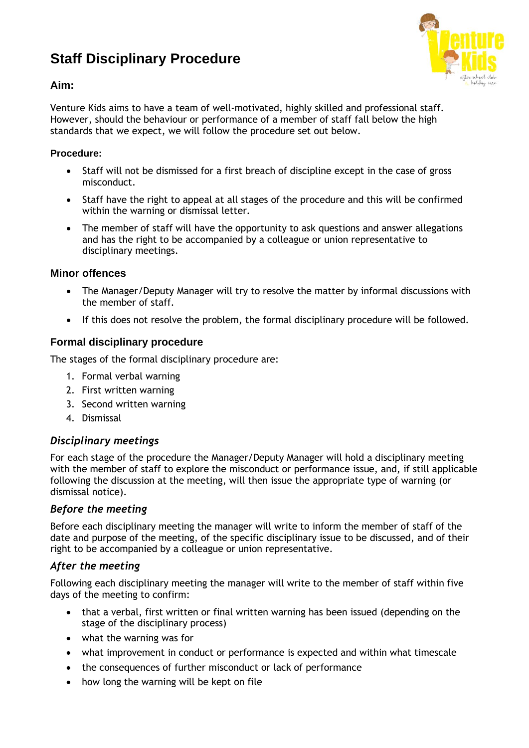# **Staff Disciplinary Procedure**



## **Aim:**

Venture Kids aims to have a team of well-motivated, highly skilled and professional staff. However, should the behaviour or performance of a member of staff fall below the high standards that we expect, we will follow the procedure set out below.

#### **Procedure:**

- Staff will not be dismissed for a first breach of discipline except in the case of gross misconduct.
- Staff have the right to appeal at all stages of the procedure and this will be confirmed within the warning or dismissal letter.
- The member of staff will have the opportunity to ask questions and answer allegations and has the right to be accompanied by a colleague or union representative to disciplinary meetings.

#### **Minor offences**

- The Manager/Deputy Manager will try to resolve the matter by informal discussions with the member of staff.
- If this does not resolve the problem, the formal disciplinary procedure will be followed.

#### **Formal disciplinary procedure**

The stages of the formal disciplinary procedure are:

- 1. Formal verbal warning
- 2. First written warning
- 3. Second written warning
- 4. Dismissal

#### *Disciplinary meetings*

For each stage of the procedure the Manager/Deputy Manager will hold a disciplinary meeting with the member of staff to explore the misconduct or performance issue, and, if still applicable following the discussion at the meeting, will then issue the appropriate type of warning (or dismissal notice).

#### *Before the meeting*

Before each disciplinary meeting the manager will write to inform the member of staff of the date and purpose of the meeting, of the specific disciplinary issue to be discussed, and of their right to be accompanied by a colleague or union representative.

#### *After the meeting*

Following each disciplinary meeting the manager will write to the member of staff within five days of the meeting to confirm:

- that a verbal, first written or final written warning has been issued (depending on the stage of the disciplinary process)
- what the warning was for
- what improvement in conduct or performance is expected and within what timescale
- the consequences of further misconduct or lack of performance
- how long the warning will be kept on file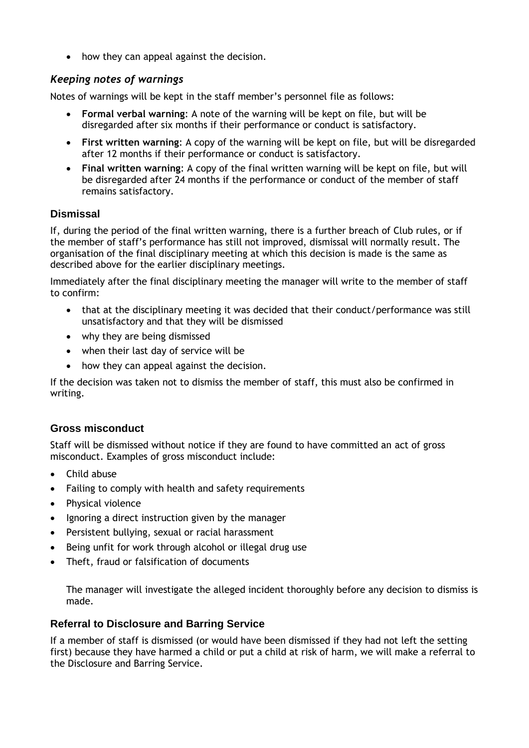• how they can appeal against the decision.

# *Keeping notes of warnings*

Notes of warnings will be kept in the staff member's personnel file as follows:

- **Formal verbal warning**: A note of the warning will be kept on file, but will be disregarded after six months if their performance or conduct is satisfactory.
- **First written warning**: A copy of the warning will be kept on file, but will be disregarded after 12 months if their performance or conduct is satisfactory.
- **Final written warning**: A copy of the final written warning will be kept on file, but will be disregarded after 24 months if the performance or conduct of the member of staff remains satisfactory.

# **Dismissal**

If, during the period of the final written warning, there is a further breach of Club rules, or if the member of staff's performance has still not improved, dismissal will normally result. The organisation of the final disciplinary meeting at which this decision is made is the same as described above for the earlier disciplinary meetings.

Immediately after the final disciplinary meeting the manager will write to the member of staff to confirm:

- that at the disciplinary meeting it was decided that their conduct/performance was still unsatisfactory and that they will be dismissed
- why they are being dismissed
- when their last day of service will be
- how they can appeal against the decision.

If the decision was taken not to dismiss the member of staff, this must also be confirmed in writing.

#### **Gross misconduct**

Staff will be dismissed without notice if they are found to have committed an act of gross misconduct. Examples of gross misconduct include:

- Child abuse
- Failing to comply with health and safety requirements
- Physical violence
- Ignoring a direct instruction given by the manager
- Persistent bullying, sexual or racial harassment
- Being unfit for work through alcohol or illegal drug use
- Theft, fraud or falsification of documents

The manager will investigate the alleged incident thoroughly before any decision to dismiss is made.

#### **Referral to Disclosure and Barring Service**

If a member of staff is dismissed (or would have been dismissed if they had not left the setting first) because they have harmed a child or put a child at risk of harm, we will make a referral to the Disclosure and Barring Service.